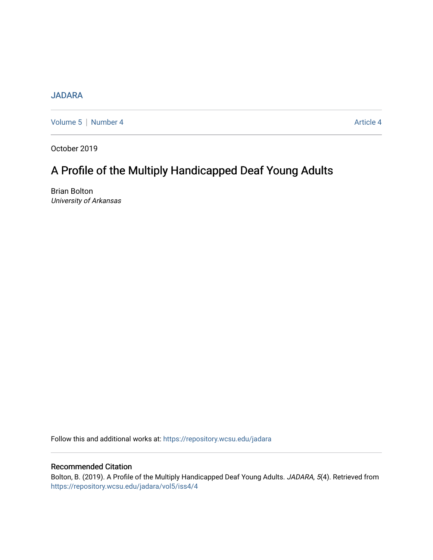## [JADARA](https://repository.wcsu.edu/jadara)

[Volume 5](https://repository.wcsu.edu/jadara/vol5) | [Number 4](https://repository.wcsu.edu/jadara/vol5/iss4) Article 4

October 2019

# A Profile of the Multiply Handicapped Deaf Young Adults

Brian Bolton University of Arkansas

Follow this and additional works at: [https://repository.wcsu.edu/jadara](https://repository.wcsu.edu/jadara?utm_source=repository.wcsu.edu%2Fjadara%2Fvol5%2Fiss4%2F4&utm_medium=PDF&utm_campaign=PDFCoverPages)

### Recommended Citation

Bolton, B. (2019). A Profile of the Multiply Handicapped Deaf Young Adults. JADARA, 5(4). Retrieved from [https://repository.wcsu.edu/jadara/vol5/iss4/4](https://repository.wcsu.edu/jadara/vol5/iss4/4?utm_source=repository.wcsu.edu%2Fjadara%2Fvol5%2Fiss4%2F4&utm_medium=PDF&utm_campaign=PDFCoverPages)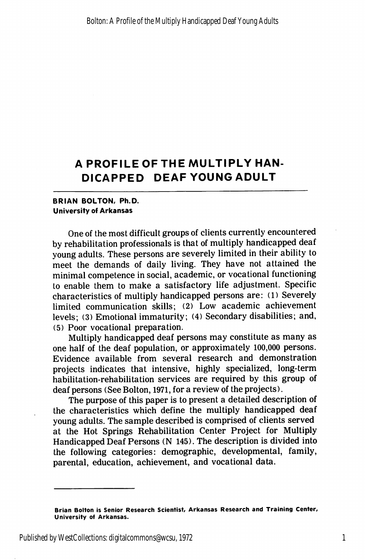# A PROFILEOFTHE MULTIPLY HAN DICAPPED DEAF YOUNG ADULT

### BRIAN BOLTON, Ph.D. University of Arkansas

One of the most difficult groups of clients currently encountered by rehabilitation professionals is that of multiply handicapped deaf young adults. These persons are severely limited in their ability to meet the demands of daily living. They have not attained the minimal competence in social, academic, or vocational functioning to enable them to make a satisfactory life adjustment. Specific characteristics of multiply handicapped persons are: (1) Severely limited communication skills; (2) Low academic achievement levels; (3) Emotional immaturity; (4) Secondary disabilities; and, (5) Poor vocational preparation.

Multiply handicapped deaf persons may constitute as many as one half of the deaf population, or approximately 100,000 persons. Evidence available from several research and demonstration projects indicates that intensive, highly specialized, long-term habilitation-rehabilitation services are required by this group of deaf persons (See Bolton, 1971, for a review of the projects).

The purpose of this paper is to present a detailed description of the characteristics which define the multiply handicapped deaf young adults. The sample described is comprised of clients served at the Hot Springs Rehabilitation Center Project for Multiply Handicapped Deaf Persons (N 145). The description is divided into the following categories: demographic, developmental, family, parental, education, achievement, and vocational data.

Brian Bolton is Senior Research Scientist, Arkansas Research and Training Center, University of Arkansas.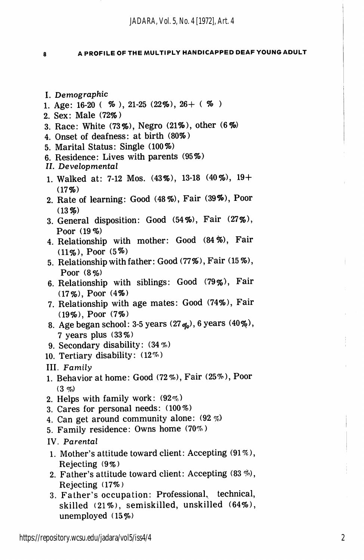8

#### A PROFILE OF THE MULTIPLY HANDICAPPED DEAF YOUNG ADULT

- I. Demographic
- 1. Age: 16-20 (  $\%$  ), 21-25 (22\%), 26+ (  $\%$  )
- 2. Sex: Male (72%)
- 3. Race: White (73%), Negro (21%), other (6%)
- 4. Onset of deafness: at birth (80%)
- 5. Marital Status: Single (100%)
- 6. Residence: Lives with parents (95%)
- II. Developmental
- 1. Walked at: 7-12 Mos. (43%), 13-18 (40%), 19+  $(17%)$
- 2. Rate of learning: Good (48%), Fair (39%), Poor  $(13%)$
- 3. General disposition: Good (54%), Fair (27%), Poor (19%)
- 4. Relationship with mother: Good (84%), Fair (11%), Poor (5%)
- 5. Relationship with father: Good (77%), Fair (15%), Poor (8%)
- 6. Relationship with siblings: Good (79%), Fair (17%), Poor (4%)
- 7. Relationship with age mates: Good (74%), Fair (19%), Poor (7%)
- 8. Age began school: 3-5 years  $(27<sub>q<sub>0</sub></sub>)$ , 6 years  $(40\%)$ , 7 years plus (33%)
- 9. Secondary disability: (34%)
- 10. Tertiary disability: (12%)
- III. Family
- 1. Behavior at home: Good (72%), Fair (25%), Poor  $(3 \, \phi)$
- 2. Helps with family work: (92%)
- 3. Cares for personal needs: (100%)
- 4. Can get around community alone: (92%)
- 5. Family residence: Owns home (70%)
- IV. Parental
- 1. Mother's attitude toward client: Accepting (91%), Rejecting (9%)
- 2. Father's attitude toward client: Accepting  $(83\%)$ , Rejecting (17%)
- 3. Father's occupation: Professional, technical, skilled (21%), semiskilled, unskilled (64%), unemployed (15%)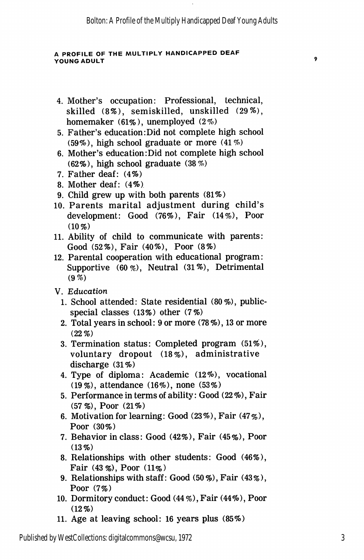#### A PROFILE OF THE MULTIPLY HANDICAPPED DEAF YOUNG ADULT

- 4. Mother's occupation: Professional, technical, skilled (8%), semiskilled, unskilled (29%), homemaker (61%), unemployed (2%)
- 5. Father's education:Did not complete high school (59%), high school graduate or more (41%)
- 6. Mother's education:Did not complete high school (62%), high school graduate (38%)
- 7. Father deaf: (4%)
- 8. Mother deaf: (4%)
- 9. Child grew up with both parents (81%)
- 10. Parents marital adjustment during child's development: Good (76%), Fair (14%), Poor  $(10\%)$
- 11. Ability of child to communicate with parents: Good (52%), Fair (40%), Poor (8%)
- 12. Parental cooperation with educational program: Supportive (60%), Neutral (31%), Detrimental (9%)
- V. Education
	- 1. School attended: State residential (80%), publicspecial classes (13%) other (7%)
	- 2. Total years in school: 9 or more (78%), 13 or more (22%)
	- 3. Termination status: Completed program (51%), voluntary dropout (18%), administrative discharge (31%)
	- 4. Type of diploma: Academic (12%), vocational (19%), attendance (16%), none (53%)
	- 5. Performance in terms of ability: Good (22 %), Fair (57%), Poor (21%)
	- 6. Motivation for learning: Good  $(23\%)$ , Fair  $(47\%)$ , Poor (30%)
	- 7. Behavior in class: Good (42%), Fair (45%), Poor  $(13\%)$
	- 8. Relationships with other students: Good (46%), Fair (43%), Poor (11%)
	- 9. Relationships with staff: Good (50%), Fair (43%), Poor (7%)
- 10. Dormitory conduct: Good (44 %), Fair (44%), Poor  $(12\%)$
- 11. Age at leaving school: 16 years plus (85%)

 $\overline{9}$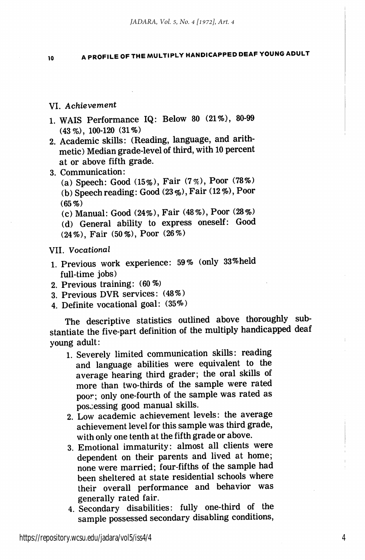<sup>10</sup> A PROFILE OF THE MULTIPLY HANDICAPPED DEAF YOUNG ADULT

### VI. Achievement

- 1. WAIS Performance IQ: Below 80 (21%), 80-99 (43%), 100-120 (31%)
- 2. Academic skills: (Reading, language, and arith metic) Median grade-level of third, with 10 percent at or above fifth grade.
- 3. Communication:

(a) Speech: Good (15%), Fair (7%), Poor (78%) (b) Speech reading: Good  $(23\%)$ , Fair  $(12\%)$ , Poor  $(65%)$ 

(c) Manual: Good (24%), Fair (48%), Poor (28%) (d) General ability to express oneself: Good

(24%), Fair (50%), Poor (26%)

#### VII. Vocational

- 1. Previous work experience: 59% (only 33%held full-time jobs)
- 2. Previous training: (60%)
- 3. Previous DVR services: (48%)
- 4. Definite vocational goal: (35%)

The descriptive statistics outlined above thoroughly sub stantiate the five-part definition of the multiply handicapped deaf young adult:

- 1. Severely limited communication skills: reading and language abilities were equivalent to the average hearing third grader; the oral skills of more than two-thirds of the sample were rated poor; only one-fourth of the sample was rated as possessing good manual skills.
- 2. Low academic achievement levels: the average achievement level for this sample was third grade, with only one tenth at the fifth grade or above.
- 3. Emotional immaturity: almost all clients were dependent on their parents and lived at home; none were married; four-fifths of the sample had been sheltered at state residential schools where their overall performance and behavior was generally rated fair.
- 4. Secondary disabilities: fully one-third of the sample possessed secondary disabling conditions.

4